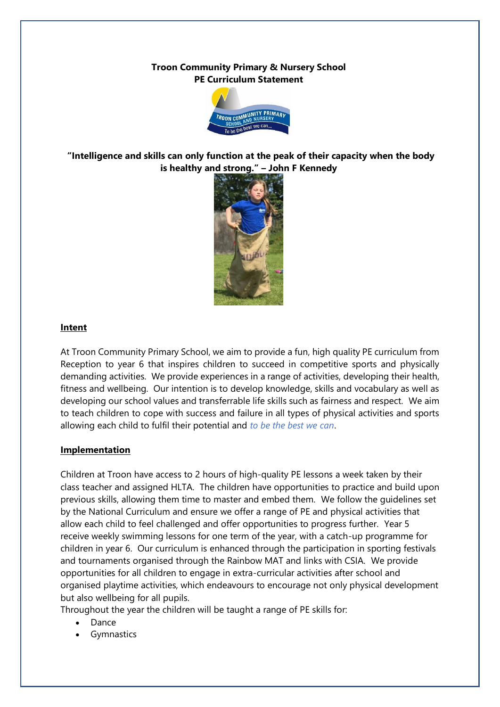## **Troon Community Primary & Nursery School PE Curriculum Statement**



**"Intelligence and skills can only function at the peak of their capacity when the body is healthy and strong." – John F Kennedy**



## **Intent**

At Troon Community Primary School, we aim to provide a fun, high quality PE curriculum from Reception to year 6 that inspires children to succeed in competitive sports and physically demanding activities. We provide experiences in a range of activities, developing their health, fitness and wellbeing. Our intention is to develop knowledge, skills and vocabulary as well as developing our school values and transferrable life skills such as fairness and respect. We aim to teach children to cope with success and failure in all types of physical activities and sports allowing each child to fulfil their potential and *to be the best we can*.

## **Implementation**

Children at Troon have access to 2 hours of high-quality PE lessons a week taken by their class teacher and assigned HLTA. The children have opportunities to practice and build upon previous skills, allowing them time to master and embed them. We follow the guidelines set by the National Curriculum and ensure we offer a range of PE and physical activities that allow each child to feel challenged and offer opportunities to progress further. Year 5 receive weekly swimming lessons for one term of the year, with a catch-up programme for children in year 6. Our curriculum is enhanced through the participation in sporting festivals and tournaments organised through the Rainbow MAT and links with CSIA. We provide opportunities for all children to engage in extra-curricular activities after school and organised playtime activities, which endeavours to encourage not only physical development but also wellbeing for all pupils.

Throughout the year the children will be taught a range of PE skills for:

- Dance
- **Gymnastics**